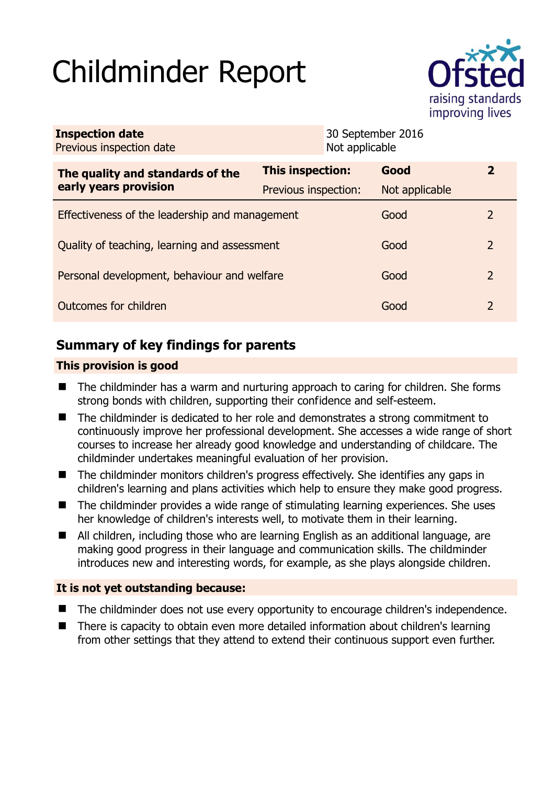# Childminder Report



| <b>Inspection date</b><br>Previous inspection date        |                         | 30 September 2016<br>Not applicable |                |
|-----------------------------------------------------------|-------------------------|-------------------------------------|----------------|
| The quality and standards of the<br>early years provision | <b>This inspection:</b> | Good                                | $\mathbf{z}$   |
|                                                           | Previous inspection:    | Not applicable                      |                |
| Effectiveness of the leadership and management            |                         | Good                                | $\mathcal{L}$  |
| Quality of teaching, learning and assessment              |                         | Good                                | $\overline{2}$ |
| Personal development, behaviour and welfare               |                         | Good                                | 2              |
| Outcomes for children                                     |                         | Good                                | $\overline{2}$ |

# **Summary of key findings for parents**

## **This provision is good**

- The childminder has a warm and nurturing approach to caring for children. She forms strong bonds with children, supporting their confidence and self-esteem.
- The childminder is dedicated to her role and demonstrates a strong commitment to continuously improve her professional development. She accesses a wide range of short courses to increase her already good knowledge and understanding of childcare. The childminder undertakes meaningful evaluation of her provision.
- The childminder monitors children's progress effectively. She identifies any gaps in children's learning and plans activities which help to ensure they make good progress.
- The childminder provides a wide range of stimulating learning experiences. She uses her knowledge of children's interests well, to motivate them in their learning.
- All children, including those who are learning English as an additional language, are making good progress in their language and communication skills. The childminder introduces new and interesting words, for example, as she plays alongside children.

## **It is not yet outstanding because:**

- The childminder does not use every opportunity to encourage children's independence.
- There is capacity to obtain even more detailed information about children's learning from other settings that they attend to extend their continuous support even further.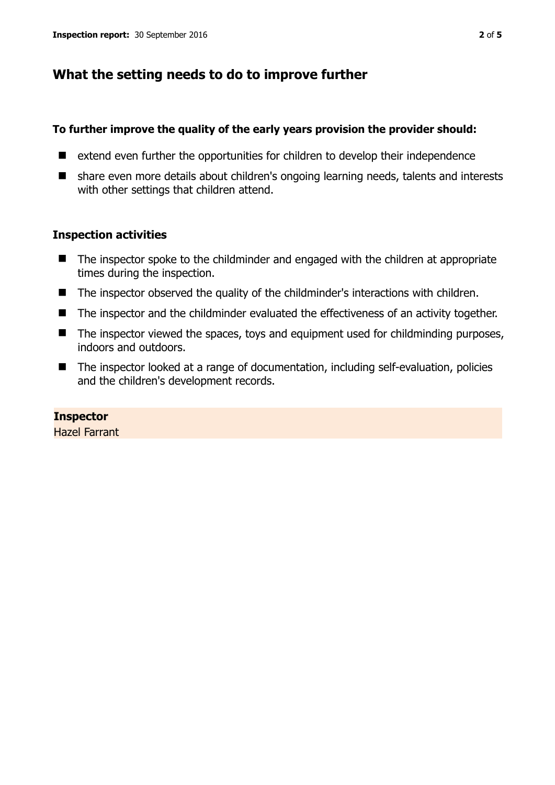# **What the setting needs to do to improve further**

#### **To further improve the quality of the early years provision the provider should:**

- extend even further the opportunities for children to develop their independence
- share even more details about children's ongoing learning needs, talents and interests with other settings that children attend.

### **Inspection activities**

- The inspector spoke to the childminder and engaged with the children at appropriate times during the inspection.
- The inspector observed the quality of the childminder's interactions with children.
- The inspector and the childminder evaluated the effectiveness of an activity together.
- The inspector viewed the spaces, toys and equipment used for childminding purposes, indoors and outdoors.
- The inspector looked at a range of documentation, including self-evaluation, policies and the children's development records.

## **Inspector**

Hazel Farrant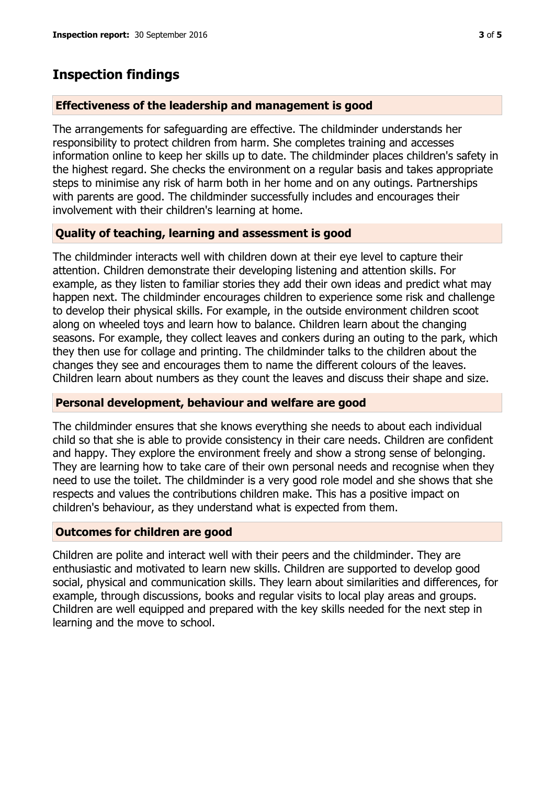## **Inspection findings**

#### **Effectiveness of the leadership and management is good**

The arrangements for safeguarding are effective. The childminder understands her responsibility to protect children from harm. She completes training and accesses information online to keep her skills up to date. The childminder places children's safety in the highest regard. She checks the environment on a regular basis and takes appropriate steps to minimise any risk of harm both in her home and on any outings. Partnerships with parents are good. The childminder successfully includes and encourages their involvement with their children's learning at home.

#### **Quality of teaching, learning and assessment is good**

The childminder interacts well with children down at their eye level to capture their attention. Children demonstrate their developing listening and attention skills. For example, as they listen to familiar stories they add their own ideas and predict what may happen next. The childminder encourages children to experience some risk and challenge to develop their physical skills. For example, in the outside environment children scoot along on wheeled toys and learn how to balance. Children learn about the changing seasons. For example, they collect leaves and conkers during an outing to the park, which they then use for collage and printing. The childminder talks to the children about the changes they see and encourages them to name the different colours of the leaves. Children learn about numbers as they count the leaves and discuss their shape and size.

#### **Personal development, behaviour and welfare are good**

The childminder ensures that she knows everything she needs to about each individual child so that she is able to provide consistency in their care needs. Children are confident and happy. They explore the environment freely and show a strong sense of belonging. They are learning how to take care of their own personal needs and recognise when they need to use the toilet. The childminder is a very good role model and she shows that she respects and values the contributions children make. This has a positive impact on children's behaviour, as they understand what is expected from them.

#### **Outcomes for children are good**

Children are polite and interact well with their peers and the childminder. They are enthusiastic and motivated to learn new skills. Children are supported to develop good social, physical and communication skills. They learn about similarities and differences, for example, through discussions, books and regular visits to local play areas and groups. Children are well equipped and prepared with the key skills needed for the next step in learning and the move to school.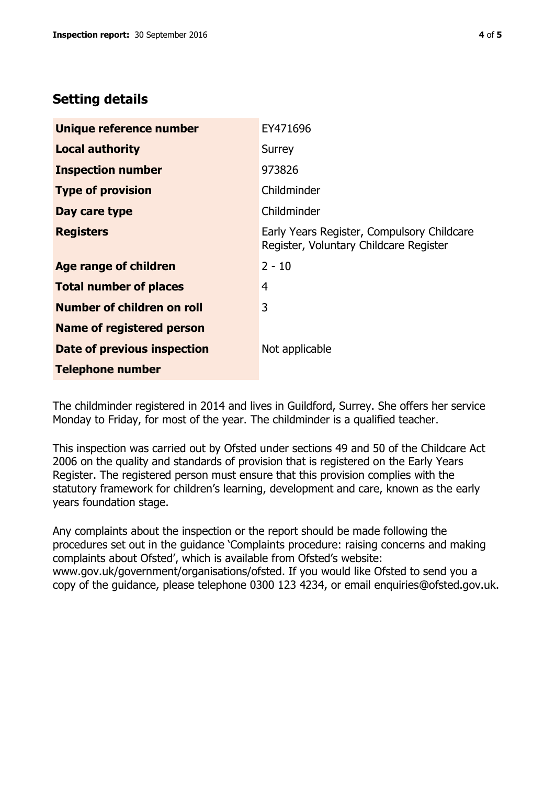# **Setting details**

| Unique reference number           | EY471696                                                                             |
|-----------------------------------|--------------------------------------------------------------------------------------|
| <b>Local authority</b>            | Surrey                                                                               |
| <b>Inspection number</b>          | 973826                                                                               |
| <b>Type of provision</b>          | Childminder                                                                          |
| Day care type                     | Childminder                                                                          |
| <b>Registers</b>                  | Early Years Register, Compulsory Childcare<br>Register, Voluntary Childcare Register |
| Age range of children             | $2 - 10$                                                                             |
| <b>Total number of places</b>     | 4                                                                                    |
| <b>Number of children on roll</b> | 3                                                                                    |
| <b>Name of registered person</b>  |                                                                                      |
| Date of previous inspection       | Not applicable                                                                       |
| <b>Telephone number</b>           |                                                                                      |

The childminder registered in 2014 and lives in Guildford, Surrey. She offers her service Monday to Friday, for most of the year. The childminder is a qualified teacher.

This inspection was carried out by Ofsted under sections 49 and 50 of the Childcare Act 2006 on the quality and standards of provision that is registered on the Early Years Register. The registered person must ensure that this provision complies with the statutory framework for children's learning, development and care, known as the early years foundation stage.

Any complaints about the inspection or the report should be made following the procedures set out in the guidance 'Complaints procedure: raising concerns and making complaints about Ofsted', which is available from Ofsted's website: www.gov.uk/government/organisations/ofsted. If you would like Ofsted to send you a copy of the guidance, please telephone 0300 123 4234, or email enquiries@ofsted.gov.uk.